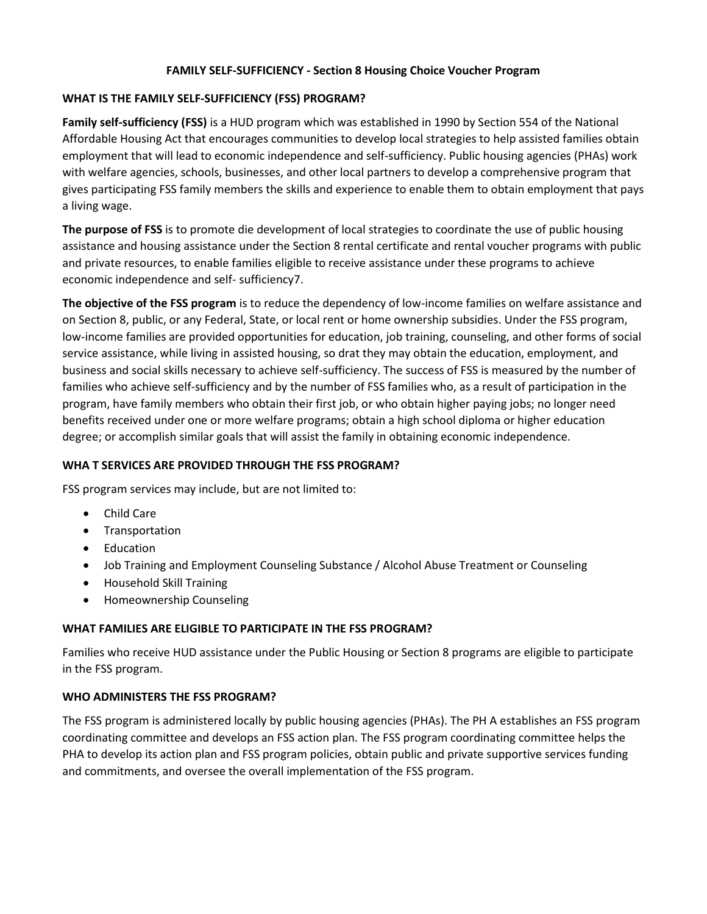## **FAMILY SELF-SUFFICIENCY - Section 8 Housing Choice Voucher Program**

## **WHAT IS THE FAMILY SELF-SUFFICIENCY (FSS) PROGRAM?**

**Family self-sufficiency (FSS)** is a HUD program which was established in 1990 by Section 554 of the National Affordable Housing Act that encourages communities to develop local strategies to help assisted families obtain employment that will lead to economic independence and self-sufficiency. Public housing agencies (PHAs) work with welfare agencies, schools, businesses, and other local partners to develop a comprehensive program that gives participating FSS family members the skills and experience to enable them to obtain employment that pays a living wage.

**The purpose of FSS** is to promote die development of local strategies to coordinate the use of public housing assistance and housing assistance under the Section 8 rental certificate and rental voucher programs with public and private resources, to enable families eligible to receive assistance under these programs to achieve economic independence and self- sufficiency7.

**The objective of the FSS program** is to reduce the dependency of low-income families on welfare assistance and on Section 8, public, or any Federal, State, or local rent or home ownership subsidies. Under the FSS program, low-income families are provided opportunities for education, job training, counseling, and other forms of social service assistance, while living in assisted housing, so drat they may obtain the education, employment, and business and social skills necessary to achieve self-sufficiency. The success of FSS is measured by the number of families who achieve self-sufficiency and by the number of FSS families who, as a result of participation in the program, have family members who obtain their first job, or who obtain higher paying jobs; no longer need benefits received under one or more welfare programs; obtain a high school diploma or higher education degree; or accomplish similar goals that will assist the family in obtaining economic independence.

## **WHA T SERVICES ARE PROVIDED THROUGH THE FSS PROGRAM?**

FSS program services may include, but are not limited to:

- Child Care
- **•** Transportation
- Education
- Job Training and Employment Counseling Substance / Alcohol Abuse Treatment or Counseling
- Household Skill Training
- Homeownership Counseling

## **WHAT FAMILIES ARE ELIGIBLE TO PARTICIPATE IN THE FSS PROGRAM?**

Families who receive HUD assistance under the Public Housing or Section 8 programs are eligible to participate in the FSS program.

## **WHO ADMINISTERS THE FSS PROGRAM?**

The FSS program is administered locally by public housing agencies (PHAs). The PH A establishes an FSS program coordinating committee and develops an FSS action plan. The FSS program coordinating committee helps the PHA to develop its action plan and FSS program policies, obtain public and private supportive services funding and commitments, and oversee the overall implementation of the FSS program.